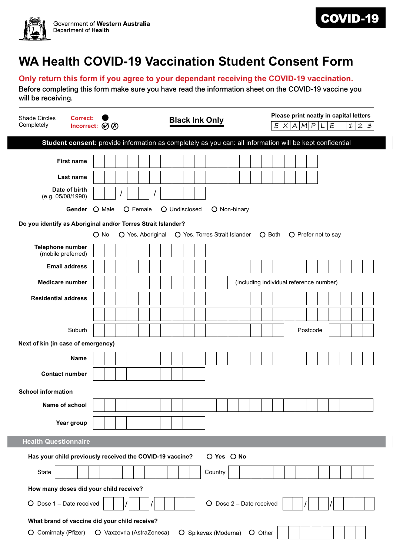



## **WA Health COVID-19 Vaccination Student Consent Form**

## **Only return this form if you agree to your dependant receiving the COVID-19 vaccination.**

Before completing this form make sure you have read the information sheet on the COVID-19 vaccine you will be receiving.

| <b>Shade Circles</b><br><b>Correct:</b><br>Completely                                                    | <b>Black Ink Only</b><br>Incorrect: $\oslash \oslash$ |  |  |  |  |  |  |  | Please print neatly in capital letters<br>E X A M P <br>E<br>(L)<br>$\mathbf{1}$<br>$\boldsymbol{2}$<br>$\mathbf{z}$ |  |         |            |  |  |  |                                         |  |          |  |  |  |  |  |
|----------------------------------------------------------------------------------------------------------|-------------------------------------------------------|--|--|--|--|--|--|--|----------------------------------------------------------------------------------------------------------------------|--|---------|------------|--|--|--|-----------------------------------------|--|----------|--|--|--|--|--|
| Student consent: provide information as completely as you can: all information will be kept confidential |                                                       |  |  |  |  |  |  |  |                                                                                                                      |  |         |            |  |  |  |                                         |  |          |  |  |  |  |  |
| <b>First name</b>                                                                                        |                                                       |  |  |  |  |  |  |  |                                                                                                                      |  |         |            |  |  |  |                                         |  |          |  |  |  |  |  |
| Last name                                                                                                |                                                       |  |  |  |  |  |  |  |                                                                                                                      |  |         |            |  |  |  |                                         |  |          |  |  |  |  |  |
| Date of birth<br>(e.g. 05/08/1990)                                                                       |                                                       |  |  |  |  |  |  |  |                                                                                                                      |  |         |            |  |  |  |                                         |  |          |  |  |  |  |  |
| Gender O Male<br>O Female<br>O Undisclosed<br>O Non-binary                                               |                                                       |  |  |  |  |  |  |  |                                                                                                                      |  |         |            |  |  |  |                                         |  |          |  |  |  |  |  |
| Do you identify as Aboriginal and/or Torres Strait Islander?                                             |                                                       |  |  |  |  |  |  |  |                                                                                                                      |  |         |            |  |  |  |                                         |  |          |  |  |  |  |  |
| $O$ No<br>O Yes, Aboriginal<br>O Yes, Torres Strait Islander<br>O Both<br>O Prefer not to say            |                                                       |  |  |  |  |  |  |  |                                                                                                                      |  |         |            |  |  |  |                                         |  |          |  |  |  |  |  |
| Telephone number<br>(mobile preferred)                                                                   |                                                       |  |  |  |  |  |  |  |                                                                                                                      |  |         |            |  |  |  |                                         |  |          |  |  |  |  |  |
| <b>Email address</b>                                                                                     |                                                       |  |  |  |  |  |  |  |                                                                                                                      |  |         |            |  |  |  |                                         |  |          |  |  |  |  |  |
| <b>Medicare number</b>                                                                                   |                                                       |  |  |  |  |  |  |  |                                                                                                                      |  |         |            |  |  |  | (including individual reference number) |  |          |  |  |  |  |  |
| <b>Residential address</b>                                                                               |                                                       |  |  |  |  |  |  |  |                                                                                                                      |  |         |            |  |  |  |                                         |  |          |  |  |  |  |  |
|                                                                                                          |                                                       |  |  |  |  |  |  |  |                                                                                                                      |  |         |            |  |  |  |                                         |  |          |  |  |  |  |  |
|                                                                                                          |                                                       |  |  |  |  |  |  |  |                                                                                                                      |  |         |            |  |  |  |                                         |  |          |  |  |  |  |  |
| Suburb                                                                                                   |                                                       |  |  |  |  |  |  |  |                                                                                                                      |  |         |            |  |  |  |                                         |  | Postcode |  |  |  |  |  |
| Next of kin (in case of emergency)                                                                       |                                                       |  |  |  |  |  |  |  |                                                                                                                      |  |         |            |  |  |  |                                         |  |          |  |  |  |  |  |
| <b>Name</b>                                                                                              |                                                       |  |  |  |  |  |  |  |                                                                                                                      |  |         |            |  |  |  |                                         |  |          |  |  |  |  |  |
| <b>Contact number</b>                                                                                    |                                                       |  |  |  |  |  |  |  |                                                                                                                      |  |         |            |  |  |  |                                         |  |          |  |  |  |  |  |
| <b>School information</b>                                                                                |                                                       |  |  |  |  |  |  |  |                                                                                                                      |  |         |            |  |  |  |                                         |  |          |  |  |  |  |  |
| Name of school                                                                                           |                                                       |  |  |  |  |  |  |  |                                                                                                                      |  |         |            |  |  |  |                                         |  |          |  |  |  |  |  |
| Year group                                                                                               |                                                       |  |  |  |  |  |  |  |                                                                                                                      |  |         |            |  |  |  |                                         |  |          |  |  |  |  |  |
|                                                                                                          |                                                       |  |  |  |  |  |  |  |                                                                                                                      |  |         |            |  |  |  |                                         |  |          |  |  |  |  |  |
| <b>Health Questionnaire</b>                                                                              |                                                       |  |  |  |  |  |  |  |                                                                                                                      |  |         |            |  |  |  |                                         |  |          |  |  |  |  |  |
| Has your child previously received the COVID-19 vaccine?                                                 |                                                       |  |  |  |  |  |  |  |                                                                                                                      |  |         | O Yes O No |  |  |  |                                         |  |          |  |  |  |  |  |
| State                                                                                                    |                                                       |  |  |  |  |  |  |  |                                                                                                                      |  | Country |            |  |  |  |                                         |  |          |  |  |  |  |  |
| How many doses did your child receive?                                                                   |                                                       |  |  |  |  |  |  |  |                                                                                                                      |  |         |            |  |  |  |                                         |  |          |  |  |  |  |  |
| $O$ Dose $2 -$ Date received<br>$O$ Dose 1 – Date received                                               |                                                       |  |  |  |  |  |  |  |                                                                                                                      |  |         |            |  |  |  |                                         |  |          |  |  |  |  |  |
| What brand of vaccine did your child receive?                                                            |                                                       |  |  |  |  |  |  |  |                                                                                                                      |  |         |            |  |  |  |                                         |  |          |  |  |  |  |  |
| O Comirnaty (Pfizer)<br>O Spikevax (Moderna)<br>O Vaxzevria (AstraZeneca)<br>O Other                     |                                                       |  |  |  |  |  |  |  |                                                                                                                      |  |         |            |  |  |  |                                         |  |          |  |  |  |  |  |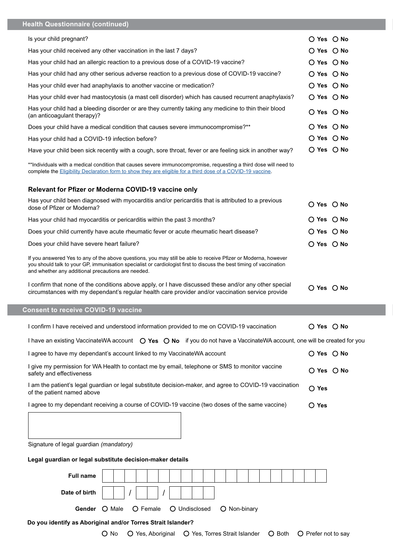| <b>Health Questionnaire (continued)</b>                                                                                                                                                                                                                                                     |                              |  |  |  |  |  |  |  |  |  |  |  |
|---------------------------------------------------------------------------------------------------------------------------------------------------------------------------------------------------------------------------------------------------------------------------------------------|------------------------------|--|--|--|--|--|--|--|--|--|--|--|
| Is your child pregnant?                                                                                                                                                                                                                                                                     | O Yes O No                   |  |  |  |  |  |  |  |  |  |  |  |
| Has your child received any other vaccination in the last 7 days?                                                                                                                                                                                                                           | $O$ Yes $O$ No               |  |  |  |  |  |  |  |  |  |  |  |
| Has your child had an allergic reaction to a previous dose of a COVID-19 vaccine?                                                                                                                                                                                                           | $O$ Yes $O$ No               |  |  |  |  |  |  |  |  |  |  |  |
| Has your child had any other serious adverse reaction to a previous dose of COVID-19 vaccine?                                                                                                                                                                                               | $\bigcirc$ Yes $\bigcirc$ No |  |  |  |  |  |  |  |  |  |  |  |
| Has your child ever had anaphylaxis to another vaccine or medication?                                                                                                                                                                                                                       | ○ Yes ○ No                   |  |  |  |  |  |  |  |  |  |  |  |
| Has your child ever had mastocytosis (a mast cell disorder) which has caused recurrent anaphylaxis?                                                                                                                                                                                         | ○ Yes ○ No                   |  |  |  |  |  |  |  |  |  |  |  |
| Has your child had a bleeding disorder or are they currently taking any medicine to thin their blood<br>(an anticoagulant therapy)?                                                                                                                                                         | ○ Yes ○ No                   |  |  |  |  |  |  |  |  |  |  |  |
| Does your child have a medical condition that causes severe immunocompromise?**                                                                                                                                                                                                             | $O$ Yes $O$ No               |  |  |  |  |  |  |  |  |  |  |  |
| Has your child had a COVID-19 infection before?                                                                                                                                                                                                                                             | $O$ Yes $O$ No               |  |  |  |  |  |  |  |  |  |  |  |
| Have your child been sick recently with a cough, sore throat, fever or are feeling sick in another way?                                                                                                                                                                                     | ○ Yes ○ No                   |  |  |  |  |  |  |  |  |  |  |  |
| **Individuals with a medical condition that causes severe immunocompromise, requesting a third dose will need to<br>complete the Eligibility Declaration form to show they are eligible for a third dose of a COVID-19 vaccine.                                                             |                              |  |  |  |  |  |  |  |  |  |  |  |
| Relevant for Pfizer or Moderna COVID-19 vaccine only                                                                                                                                                                                                                                        |                              |  |  |  |  |  |  |  |  |  |  |  |
| Has your child been diagnosed with myocarditis and/or pericarditis that is attributed to a previous<br>dose of Pfizer or Moderna?                                                                                                                                                           | $O$ Yes $O$ No               |  |  |  |  |  |  |  |  |  |  |  |
| Has your child had myocarditis or pericarditis within the past 3 months?                                                                                                                                                                                                                    | $\bigcirc$ Yes $\bigcirc$ No |  |  |  |  |  |  |  |  |  |  |  |
| Does your child currently have acute rheumatic fever or acute rheumatic heart disease?                                                                                                                                                                                                      | $O$ Yes $O$ No               |  |  |  |  |  |  |  |  |  |  |  |
| Does your child have severe heart failure?                                                                                                                                                                                                                                                  | $O$ Yes $O$ No               |  |  |  |  |  |  |  |  |  |  |  |
| If you answered Yes to any of the above questions, you may still be able to receive Pfizer or Moderna, however<br>you should talk to your GP, immunisation specialist or cardiologist first to discuss the best timing of vaccination<br>and whether any additional precautions are needed. |                              |  |  |  |  |  |  |  |  |  |  |  |
|                                                                                                                                                                                                                                                                                             |                              |  |  |  |  |  |  |  |  |  |  |  |
| I confirm that none of the conditions above apply, or I have discussed these and/or any other special<br>circumstances with my dependant's regular health care provider and/or vaccination service provide                                                                                  | $O$ Yes $O$ No               |  |  |  |  |  |  |  |  |  |  |  |
| <b>Consent to receive COVID-19 vaccine</b>                                                                                                                                                                                                                                                  |                              |  |  |  |  |  |  |  |  |  |  |  |
| I confirm I have received and understood information provided to me on COVID-19 vaccination                                                                                                                                                                                                 | $O$ Yes $O$ No               |  |  |  |  |  |  |  |  |  |  |  |
| I have an existing VaccinateWA account O Yes O No if you do not have a VaccinateWA account, one will be created for you                                                                                                                                                                     |                              |  |  |  |  |  |  |  |  |  |  |  |
| I agree to have my dependant's account linked to my VaccinateWA account                                                                                                                                                                                                                     | ○ Yes ○ No                   |  |  |  |  |  |  |  |  |  |  |  |
| I give my permission for WA Health to contact me by email, telephone or SMS to monitor vaccine<br>safety and effectiveness                                                                                                                                                                  | O Yes O No                   |  |  |  |  |  |  |  |  |  |  |  |
| I am the patient's legal guardian or legal substitute decision-maker, and agree to COVID-19 vaccination<br>of the patient named above                                                                                                                                                       | $O$ Yes                      |  |  |  |  |  |  |  |  |  |  |  |
| I agree to my dependant receiving a course of COVID-19 vaccine (two doses of the same vaccine)                                                                                                                                                                                              | $\bigcirc$ Yes               |  |  |  |  |  |  |  |  |  |  |  |
|                                                                                                                                                                                                                                                                                             |                              |  |  |  |  |  |  |  |  |  |  |  |
|                                                                                                                                                                                                                                                                                             |                              |  |  |  |  |  |  |  |  |  |  |  |
| Signature of legal guardian (mandatory)                                                                                                                                                                                                                                                     |                              |  |  |  |  |  |  |  |  |  |  |  |
| Legal guardian or legal substitute decision-maker details                                                                                                                                                                                                                                   |                              |  |  |  |  |  |  |  |  |  |  |  |
| <b>Full name</b>                                                                                                                                                                                                                                                                            |                              |  |  |  |  |  |  |  |  |  |  |  |
| Date of birth                                                                                                                                                                                                                                                                               |                              |  |  |  |  |  |  |  |  |  |  |  |
| O Male<br>O Female<br>O Undisclosed<br>Gender<br>O Non-binary                                                                                                                                                                                                                               |                              |  |  |  |  |  |  |  |  |  |  |  |
| Do you identify as Aboriginal and/or Torres Strait Islander?                                                                                                                                                                                                                                |                              |  |  |  |  |  |  |  |  |  |  |  |

٠